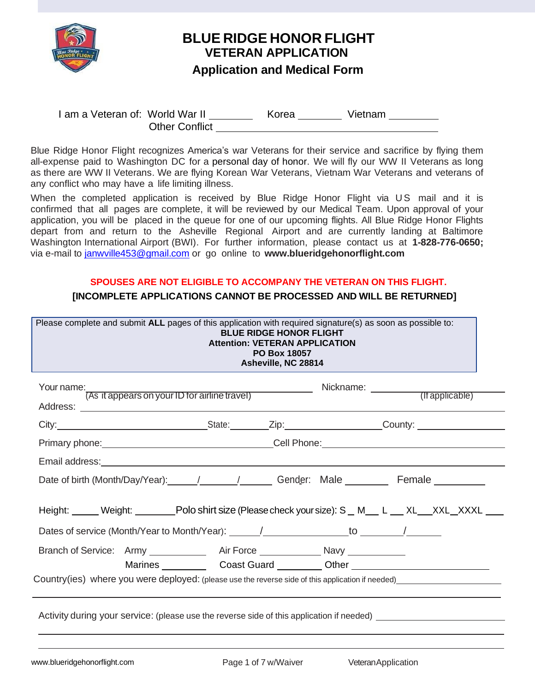

# **BLUE RIDGE HONOR FLIGHT VETERAN APPLICATION**

## **Application and Medical Form**

I am a Veteran of: World War II \_\_\_\_\_\_\_\_\_ Korea \_\_\_\_\_\_\_ Vietnam \_\_\_\_\_\_\_\_ Other Conflict

Blue Ridge Honor Flight recognizes America's war Veterans for their service and sacrifice by flying them all-expense paid to Washington DC for a personal day of honor. We will fly our WW II Veterans as long as there are WW II Veterans. We are flying Korean War Veterans, Vietnam War Veterans and veterans of any conflict who may have a life limiting illness.

When the completed application is received by Blue Ridge Honor Flight via US mail and it is confirmed that all pages are complete, it will be reviewed by our Medical Team. Upon approval of your application, you will be placed in the queue for one of our upcoming flights. All Blue Ridge Honor Flights depart from and return to the Asheville Regional Airport and are currently landing at Baltimore Washington International Airport (BWI). For further information, please contact us at **1-828-776-0650;**  via e-mail to [janwville453@gmail.com](mailto:janwville453@gmail.com) or go online to **[www.blueridgehonorflight.com](http://www.blueridgehonorflight.com/)**

#### **SPOUSES ARE NOT ELIGIBLE TO ACCOMPANY THE VETERAN ON THIS FLIGHT.**

### **[INCOMPLETE APPLICATIONS CANNOT BE PROCESSED AND WILL BE RETURNED]**

| Your name: [As it appears on your ID for airline travel) [19] Nickname: 2011 [19] Nickname: [19] Nickname: [19] Nickname: (If applicable)                                                                                           |  |                                                                                  |  |
|-------------------------------------------------------------------------------------------------------------------------------------------------------------------------------------------------------------------------------------|--|----------------------------------------------------------------------------------|--|
| City: City: Culture County: County: County: County: County: County: County: County: County: County: County: County: County: County: County: County: County: County: County: County: County: County: County: County: County: Co      |  |                                                                                  |  |
| Primary phone: <u>contract and contract and contract of Cell Phone:</u> Cell Phone: contract and contract and contract of the contract of the contract of the contract of the contract of the contract of the contract of the contr |  |                                                                                  |  |
|                                                                                                                                                                                                                                     |  |                                                                                  |  |
|                                                                                                                                                                                                                                     |  |                                                                                  |  |
| Height: Weight: Weight: Polo shirt size (Please check your size): S _ M _ L _ XL _ XXL _ XXXL _ _                                                                                                                                   |  |                                                                                  |  |
| Dates of service (Month/Year to Month/Year): \[10] \[20] \[20] \[20] \[20] \[20] \[20] \[20] \[20] \[20] \[20                                                                                                                       |  |                                                                                  |  |
| Branch of Service: Army ______________ Air Force _______________ Navy ___________                                                                                                                                                   |  | Marines _____________Coast Guard __________Other _______________________________ |  |
| Country(ies) where you were deployed: (please use the reverse side of this application if needed) entirely and the country (ies) where you were deployed: (please use the reverse side of this application if needed)               |  |                                                                                  |  |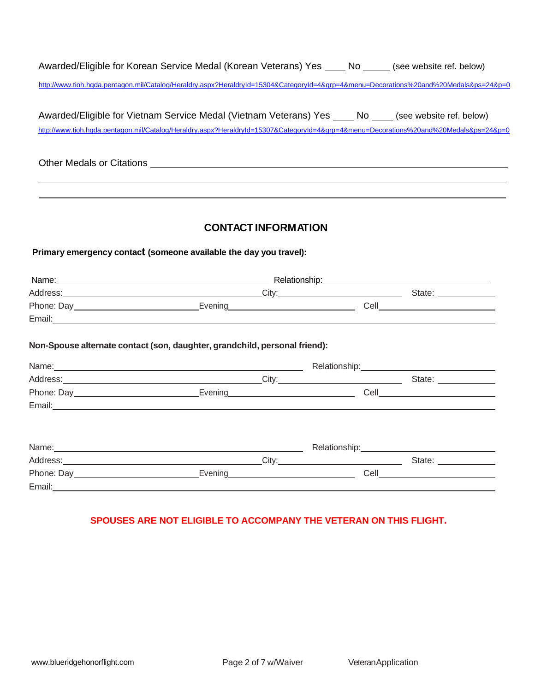| Awarded/Eligible for Korean Service Medal (Korean Veterans) Yes                                                                       | No No | (see website ref. below) |
|---------------------------------------------------------------------------------------------------------------------------------------|-------|--------------------------|
| http://www.tioh.hqda.pentagon.mil/Catalog/Heraldry.aspx?HeraldryId=15304&CategoryId=4&grp=4&menu=Decorations%20and%20Medals&ps=24&p=0 |       |                          |

| Awarded/Eligible for Vietnam Service Medal (Vietnam Veterans) Yes                                                                     | No No | (see website ref. below) |  |
|---------------------------------------------------------------------------------------------------------------------------------------|-------|--------------------------|--|
| http://www.tioh.hqda.pentagon.mil/Catalog/Heraldry.aspx?HeraldryId=15307&CategoryId=4&grp=4&menu=Decorations%20and%20Medals&ps=24&p=0 |       |                          |  |

Other Medals or Citations **CONSTRANGE CONSTRANGE CONSTRANGE CONSTRANGE CONSTRANGE CONSTRANGE CONSTRANGE CONSTRANGE CONSTRANGE CONSTRANGE CONSTRANGE CONSTRANGE CONSTRANGE CONSTRANGE CONSTRANGE CONSTRANGE CONSTRANGE CONSTRAN** 

 $\overline{a}$  $\overline{a}$ 

#### **CONTACT INFORMATION**

#### **Primaryemergency contact (someone available the day you travel):**

| Name:      | Relationship: |        |  |  |  |
|------------|---------------|--------|--|--|--|
| Address:   | City:         | State: |  |  |  |
| Phone: Day | Evening       | Cell   |  |  |  |
| Email:     |               |        |  |  |  |

#### **Non-Spousealternatecontact (son, daughter, grandchild, personal friend):**

| Name: Name: Name: Name: Name: Name: Name: Name: Name: Name: Name: Name: Name: Name: Name: Name: Name: Name: Name: Name: Name: Name: Name: Name: Name: Name: Name: Name: Name: Name: Name: Name: Name: Name: Name: Name: Name: |                   |                                              |                                                                                                                                                                                                                                | Relationship: The contract of the contract of the contract of the contract of the contract of the contract of the contract of the contract of the contract of the contract of the contract of the contract of the contract of  |
|-------------------------------------------------------------------------------------------------------------------------------------------------------------------------------------------------------------------------------|-------------------|----------------------------------------------|--------------------------------------------------------------------------------------------------------------------------------------------------------------------------------------------------------------------------------|--------------------------------------------------------------------------------------------------------------------------------------------------------------------------------------------------------------------------------|
|                                                                                                                                                                                                                               | Address: Address: |                                              | City: the contract of the contract of the contract of the contract of the contract of the contract of the contract of the contract of the contract of the contract of the contract of the contract of the contract of the cont | State: and the state of the state of the state of the state of the state of the state of the state of the state of the state of the state of the state of the state of the state of the state of the state of the state of the |
| Phone: Day<br><u> Day</u>                                                                                                                                                                                                     |                   |                                              | Evening Manual Communication Communication                                                                                                                                                                                     | <b>Cell Cell Cell Cell Cell Cell Cell</b>                                                                                                                                                                                      |
|                                                                                                                                                                                                                               |                   |                                              |                                                                                                                                                                                                                                |                                                                                                                                                                                                                                |
|                                                                                                                                                                                                                               |                   |                                              |                                                                                                                                                                                                                                |                                                                                                                                                                                                                                |
|                                                                                                                                                                                                                               |                   |                                              |                                                                                                                                                                                                                                |                                                                                                                                                                                                                                |
| Name: Name: Name: Name: Name: Name: Name: Name: Name: Name: Name: Name: Name: Name: Name: Name: Name: Name: Name: Name: Name: Name: Name: Name: Name: Name: Name: Name: Name: Name: Name: Name: Name: Name: Name: Name: Name: |                   |                                              | Relationship:___________________                                                                                                                                                                                               |                                                                                                                                                                                                                                |
|                                                                                                                                                                                                                               |                   |                                              | City: the contract of the contract of the contract of the contract of the contract of the contract of the contract of the contract of the contract of the contract of the contract of the contract of the contract of the cont | State: <b>State:</b>                                                                                                                                                                                                           |
| Phone: Day                                                                                                                                                                                                                    | Evening           | <u> 1980 - Jan Samuel Barbara, martin di</u> |                                                                                                                                                                                                                                | <b>Cell Cell</b>                                                                                                                                                                                                               |
| Email:                                                                                                                                                                                                                        |                   |                                              |                                                                                                                                                                                                                                |                                                                                                                                                                                                                                |

#### **SPOUSES ARE NOT ELIGIBLE TO ACCOMPANY THE VETERAN ON THIS FLIGHT.**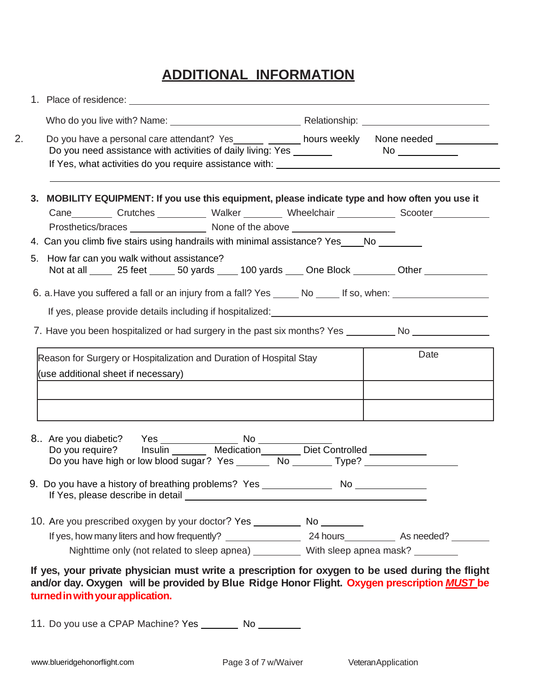# **ADDITIONAL INFORMATION**

|    |                                                                                                            |                                                                                                                |                                                                                                            |  |  | Do you have a personal care attendant? Yes _______ _______ hours weekly None needed _____________                                                                                                                                |
|----|------------------------------------------------------------------------------------------------------------|----------------------------------------------------------------------------------------------------------------|------------------------------------------------------------------------------------------------------------|--|--|----------------------------------------------------------------------------------------------------------------------------------------------------------------------------------------------------------------------------------|
|    |                                                                                                            |                                                                                                                |                                                                                                            |  |  | 3. MOBILITY EQUIPMENT: If you use this equipment, please indicate type and how often you use it                                                                                                                                  |
|    |                                                                                                            |                                                                                                                |                                                                                                            |  |  | Cane Crutches Walker Moneclchair Scooter                                                                                                                                                                                         |
|    | 4. Can you climb five stairs using handrails with minimal assistance? Yes ____ No                          |                                                                                                                |                                                                                                            |  |  |                                                                                                                                                                                                                                  |
| 5. |                                                                                                            | How far can you walk without assistance?                                                                       |                                                                                                            |  |  |                                                                                                                                                                                                                                  |
|    |                                                                                                            |                                                                                                                |                                                                                                            |  |  | Not at all _____ 25 feet _____ 50 yards ____ 100 yards ____ One Block ________ Other ___________                                                                                                                                 |
|    |                                                                                                            |                                                                                                                |                                                                                                            |  |  |                                                                                                                                                                                                                                  |
|    |                                                                                                            |                                                                                                                | 6. a. Have you suffered a fall or an injury from a fall? Yes ______ No _____ If so, when: ________________ |  |  | If yes, please provide details including if hospitalized:<br>Series and the series of the series of the series of the series of the series of the series of the series of the series of the series of the series of the series o |
|    | Reason for Surgery or Hospitalization and Duration of Hospital Stay<br>(use additional sheet if necessary) |                                                                                                                |                                                                                                            |  |  | 7. Have you been hospitalized or had surgery in the past six months? Yes ___________________________<br>Date                                                                                                                     |
|    | 9. Do you have a history of breathing problems? Yes ________________ No _____                              |                                                                                                                |                                                                                                            |  |  | Do you have high or low blood sugar? Yes _________ No _________ Type? ___________                                                                                                                                                |
|    |                                                                                                            | If Yes, please describe in detail example and the state of the state of the state of the state of the state of |                                                                                                            |  |  |                                                                                                                                                                                                                                  |
|    | 10. Are you prescribed oxygen by your doctor? Yes ___________ No _________                                 |                                                                                                                |                                                                                                            |  |  |                                                                                                                                                                                                                                  |
|    |                                                                                                            |                                                                                                                |                                                                                                            |  |  | Nighttime only (not related to sleep apnea) __________ With sleep apnea mask? ________                                                                                                                                           |

11. Do you use a CPAP Machine? Yes \_\_\_\_\_\_\_ No \_\_\_\_\_\_\_\_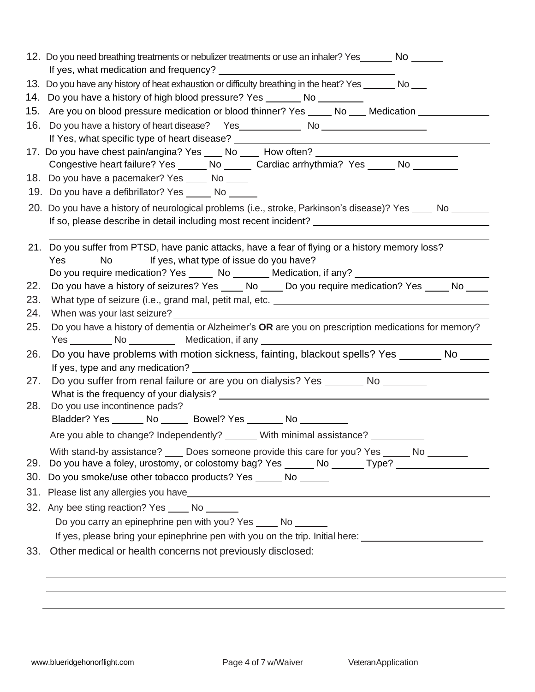| 12. Do you need breathing treatments or nebulizer treatments or use an inhaler? Yes _______ No ______                                                                                  |
|----------------------------------------------------------------------------------------------------------------------------------------------------------------------------------------|
| 13. Do you have any history of heat exhaustion or difficulty breathing in the heat? Yes _______ No ____                                                                                |
| 14. Do you have a history of high blood pressure? Yes _______ No ________                                                                                                              |
| Are you on blood pressure medication or blood thinner? Yes _____ No ___ Medication ____<br>15.                                                                                         |
| 16.                                                                                                                                                                                    |
|                                                                                                                                                                                        |
| 17. Do you have chest pain/angina? Yes ____ No _____ How often? ________________                                                                                                       |
| Congestive heart failure? Yes ______ No ______ Cardiac arrhythmia? Yes _____ No ________                                                                                               |
| 18. Do you have a pacemaker? Yes _____ No _____                                                                                                                                        |
| 19. Do you have a defibrillator? Yes ______ No ______                                                                                                                                  |
| 20. Do you have a history of neurological problems (i.e., stroke, Parkinson's disease)? Yes ____ No                                                                                    |
| If so, please describe in detail including most recent incident? ___________________________________                                                                                   |
|                                                                                                                                                                                        |
| 21. Do you suffer from PTSD, have panic attacks, have a fear of flying or a history memory loss?                                                                                       |
| Yes ________ No__________ If yes, what type of issue do you have? __________________________________                                                                                   |
| Do you require medication? Yes ______ No ________ Medication, if any? ______________________________                                                                                   |
| Do you have a history of seizures? Yes _____ No _____ Do you require medication? Yes _____ No _____<br>22.                                                                             |
| 23.                                                                                                                                                                                    |
| 24.                                                                                                                                                                                    |
| 25.<br>Do you have a history of dementia or Alzheimer's OR are you on prescription medications for memory?                                                                             |
| Yes __________ No ____________ Medication, if any ______________________________<br>Do you have problems with motion sickness, fainting, blackout spells? Yes ________ No _____<br>26. |
| If yes, type and any medication?                                                                                                                                                       |
| Do you suffer from renal failure or are you on dialysis? Yes ________ No _______<br>27.                                                                                                |
|                                                                                                                                                                                        |
| 28.<br>Do you use incontinence pads?                                                                                                                                                   |
| Bladder? Yes _______ No _______ Bowel? Yes _______ No _________                                                                                                                        |
| Are you able to change? Independently? ______ With minimal assistance? ________                                                                                                        |
| With stand-by assistance? _____ Does someone provide this care for you? Yes ______ No ________                                                                                         |
| 29. Do you have a foley, urostomy, or colostomy bag? Yes ______ No ______ Type? ___________________                                                                                    |
| 30. Do you smoke/use other tobacco products? Yes ______ No ______                                                                                                                      |
|                                                                                                                                                                                        |
| 32. Any bee sting reaction? Yes ______ No _______                                                                                                                                      |
| Do you carry an epinephrine pen with you? Yes _____ No ______                                                                                                                          |
| If yes, please bring your epinephrine pen with you on the trip. Initial here:                                                                                                          |
| 33. Other medical or health concerns not previously disclosed:                                                                                                                         |
|                                                                                                                                                                                        |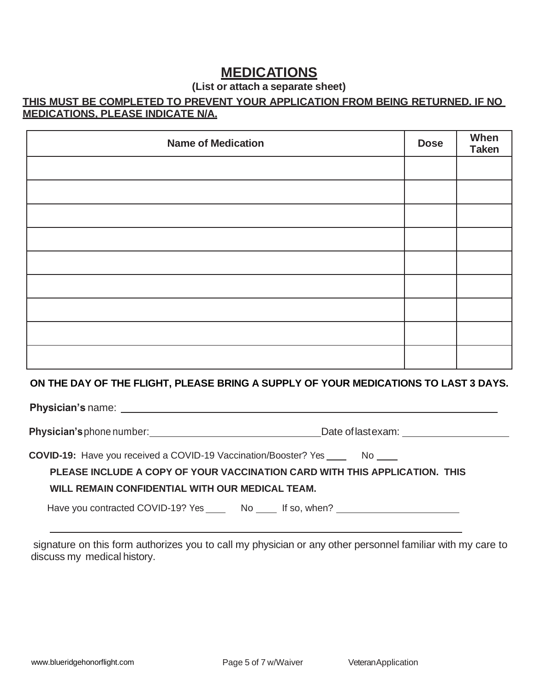## **MEDICATIONS**

### **(List or attach a separate sheet)**

## **THIS MUST BE COMPLETED TO PREVENT YOUR APPLICATION FROM BEING RETURNED. IF NO MEDICATIONS, PLEASE INDICATE N/A.**

| <b>Name of Medication</b> | <b>Dose</b> | When<br><b>Taken</b> |
|---------------------------|-------------|----------------------|
|                           |             |                      |
|                           |             |                      |
|                           |             |                      |
|                           |             |                      |
|                           |             |                      |
|                           |             |                      |
|                           |             |                      |
|                           |             |                      |
|                           |             |                      |

#### **ON THE DAY OF THE FLIGHT, PLEASE BRING A SUPPLY OF YOUR MEDICATIONS TO LAST 3 DAYS.**

 **Physician's** name:

Physician's phone number: <u>Date</u> of last exam: <u>Date of last examence</u> of last exam:

**COVID-19:** Have you received a COVID-19 Vaccination/Booster? Yes \_\_\_\_\_\_\_ No \_\_\_\_

#### **PLEASE INCLUDE A COPY OF YOUR VACCINATION CARD WITH THIS APPLICATION. THIS**

#### **WILL REMAIN CONFIDENTIAL WITH OUR MEDICAL TEAM.**

Have you contracted COVID-19? Yes \_\_\_\_\_\_\_ No \_\_\_\_\_ If so, when? \_\_\_\_\_\_\_\_\_\_\_\_\_\_\_\_

signature on this form authorizes you to call my physician or any other personnel familiar with my care to discuss my medical history.

 $\overline{a}$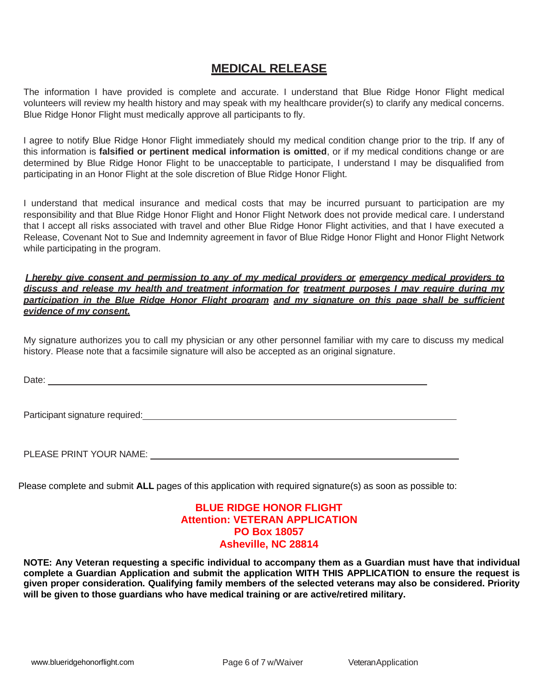## **MEDICAL RELEASE**

The information I have provided is complete and accurate. I understand that Blue Ridge Honor Flight medical volunteers will review my health history and may speak with my healthcare provider(s) to clarify any medical concerns. Blue Ridge Honor Flight must medically approve all participants to fly.

I agree to notify Blue Ridge Honor Flight immediately should my medical condition change prior to the trip. If any of this information is **falsified or pertinent medical information is omitted**, or if my medical conditions change or are determined by Blue Ridge Honor Flight to be unacceptable to participate, I understand I may be disqualified from participating in an Honor Flight at the sole discretion of Blue Ridge Honor Flight.

I understand that medical insurance and medical costs that may be incurred pursuant to participation are my responsibility and that Blue Ridge Honor Flight and Honor Flight Network does not provide medical care. I understand that I accept all risks associated with travel and other Blue Ridge Honor Flight activities, and that I have executed a Release, Covenant Not to Sue and Indemnity agreement in favor of Blue Ridge Honor Flight and Honor Flight Network while participating in the program.

*I hereby give consent and permission to any of my medical providers or emergency medical providers to discuss and release my health and treatment information for treatment purposes I may require during my participation in the Blue Ridge Honor Flight program and my signature on this page shall be sufficient evidence of my consent.*

My signature authorizes you to call my physician or any other personnel familiar with my care to discuss my medical history. Please note that a facsimile signature will also be accepted as an original signature.

Date: the contract of the contract of the contract of the contract of the contract of the contract of the contract of the contract of the contract of the contract of the contract of the contract of the contract of the cont

Participant signature required:

PLEASE PRINT YOUR NAME:

Please complete and submit **ALL** pages of this application with required signature(s) as soon as possible to:

#### **BLUE RIDGE HONOR FLIGHT Attention: VETERAN APPLICATION PO Box 18057 Asheville, NC 28814**

**NOTE: Any Veteran requesting a specific individual to accompany them as a Guardian must have that individual complete a Guardian Application and submit the application WITH THIS APPLICATION to ensure the request is given proper consideration. Qualifying family members of the selected veterans may also be considered. Priority will be given to those guardians who have medical training or are active/retired military.**